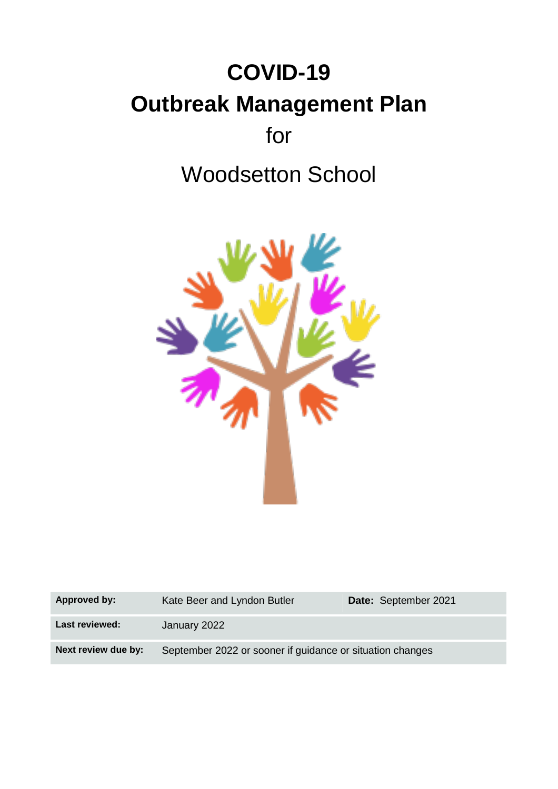# **COVID-19 Outbreak Management Plan** for

# Woodsetton School



| <b>Approved by:</b>   | Kate Beer and Lyndon Butler                               | Date: September 2021 |
|-----------------------|-----------------------------------------------------------|----------------------|
| <b>Last reviewed:</b> | January 2022                                              |                      |
| Next review due by:   | September 2022 or sooner if guidance or situation changes |                      |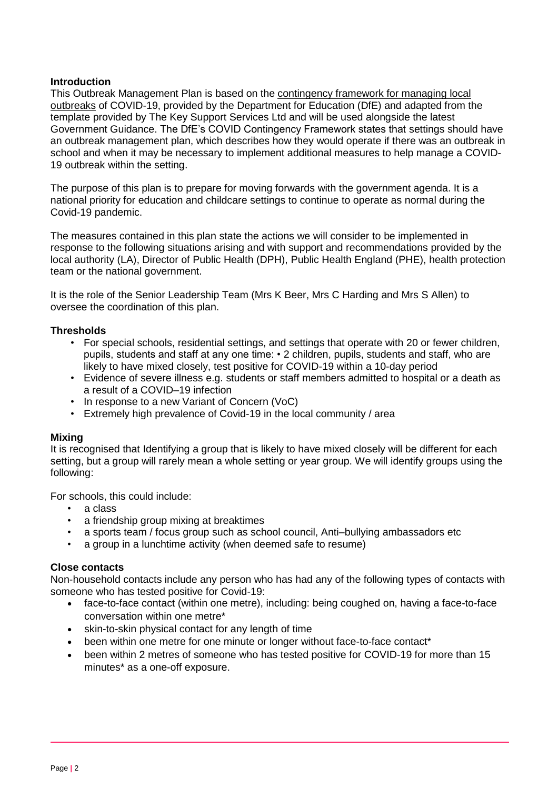# **Introduction**

This Outbreak Management Plan is based on the [contingency framework for managing local](https://www.gov.uk/government/publications/coronavirus-covid-19-local-restrictions-in-education-and-childcare-settings)  [outbreaks](https://www.gov.uk/government/publications/coronavirus-covid-19-local-restrictions-in-education-and-childcare-settings) of COVID-19, provided by the Department for Education (DfE) and adapted from the template provided by The Key Support Services Ltd and will be used alongside the latest Government Guidance. The DfE's COVID Contingency Framework states that settings should have an outbreak management plan, which describes how they would operate if there was an outbreak in school and when it may be necessary to implement additional measures to help manage a COVID-19 outbreak within the setting.

The purpose of this plan is to prepare for moving forwards with the government agenda. It is a national priority for education and childcare settings to continue to operate as normal during the Covid-19 pandemic.

The measures contained in this plan state the actions we will consider to be implemented in response to the following situations arising and with support and recommendations provided by the local authority (LA), Director of Public Health (DPH), Public Health England (PHE), health protection team or the national government.

It is the role of the Senior Leadership Team (Mrs K Beer, Mrs C Harding and Mrs S Allen) to oversee the coordination of this plan.

# **Thresholds**

- For special schools, residential settings, and settings that operate with 20 or fewer children, pupils, students and staff at any one time: • 2 children, pupils, students and staff, who are likely to have mixed closely, test positive for COVID-19 within a 10-day period
- Evidence of severe illness e.g. students or staff members admitted to hospital or a death as a result of a COVID–19 infection
- In response to a new Variant of Concern (VoC)
- Extremely high prevalence of Covid-19 in the local community / area

#### **Mixing**

It is recognised that Identifying a group that is likely to have mixed closely will be different for each setting, but a group will rarely mean a whole setting or year group. We will identify groups using the following:

For schools, this could include:

- a class
- a friendship group mixing at breaktimes
- a sports team / focus group such as school council, Anti–bullying ambassadors etc
- a group in a lunchtime activity (when deemed safe to resume)

#### **Close contacts**

Non-household contacts include any person who has had any of the following types of contacts with someone who has tested positive for Covid-19:

- face-to-face contact (within one metre), including: being coughed on, having a face-to-face conversation within one metre\*
- skin-to-skin physical contact for any length of time
- been within one metre for one minute or longer without face-to-face contact\*
- been within 2 metres of someone who has tested positive for COVID-19 for more than 15 minutes\* as a one-off exposure.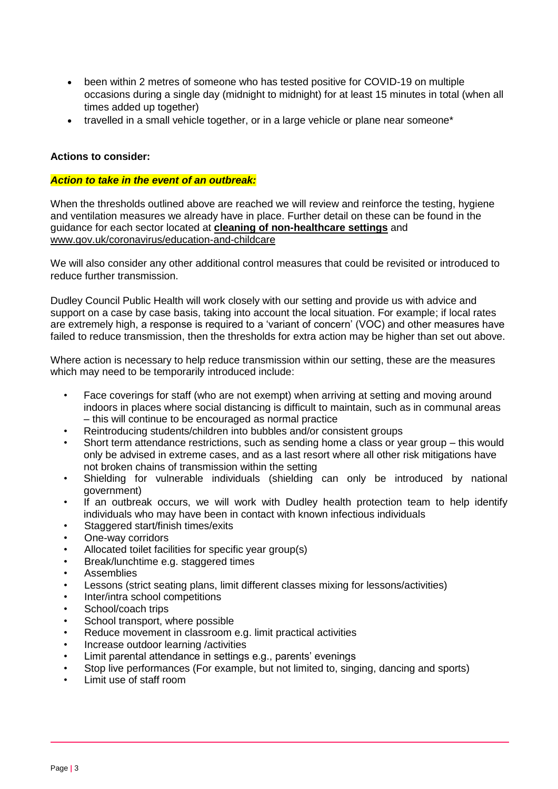- been within 2 metres of someone who has tested positive for COVID-19 on multiple occasions during a single day (midnight to midnight) for at least 15 minutes in total (when all times added up together)
- travelled in a small vehicle together, or in a large vehicle or plane near someone\*

## **Actions to consider:**

## *Action to take in the event of an outbreak:*

When the thresholds outlined above are reached we will review and reinforce the testing, hygiene and ventilation measures we already have in place. Further detail on these can be found in the guidance for each sector located at **[cleaning of non-healthcare settings](https://www.gov.uk/government/publications/covid-19-decontamination-in-non-healthcare-settings)** and [www.gov.uk/coronavirus/education-and-childcare](http://www.gov.uk/coronavirus/education-and-childcare)

We will also consider any other additional control measures that could be revisited or introduced to reduce further transmission.

Dudley Council Public Health will work closely with our setting and provide us with advice and support on a case by case basis, taking into account the local situation. For example; if local rates are extremely high, a response is required to a 'variant of concern' (VOC) and other measures have failed to reduce transmission, then the thresholds for extra action may be higher than set out above.

Where action is necessary to help reduce transmission within our setting, these are the measures which may need to be temporarily introduced include:

- Face coverings for staff (who are not exempt) when arriving at setting and moving around indoors in places where social distancing is difficult to maintain, such as in communal areas – this will continue to be encouraged as normal practice
- Reintroducing students/children into bubbles and/or consistent groups
- Short term attendance restrictions, such as sending home a class or year group this would only be advised in extreme cases, and as a last resort where all other risk mitigations have not broken chains of transmission within the setting
- Shielding for vulnerable individuals (shielding can only be introduced by national government)
- If an outbreak occurs, we will work with Dudley health protection team to help identify individuals who may have been in contact with known infectious individuals
- Staggered start/finish times/exits
- One-way corridors
- Allocated toilet facilities for specific year group(s)
- Break/lunchtime e.g. staggered times
- **Assemblies**
- Lessons (strict seating plans, limit different classes mixing for lessons/activities)
- Inter/intra school competitions
- School/coach trips
- School transport, where possible
- Reduce movement in classroom e.g. limit practical activities
- Increase outdoor learning /activities
- Limit parental attendance in settings e.g., parents' evenings
- Stop live performances (For example, but not limited to, singing, dancing and sports)
- Limit use of staff room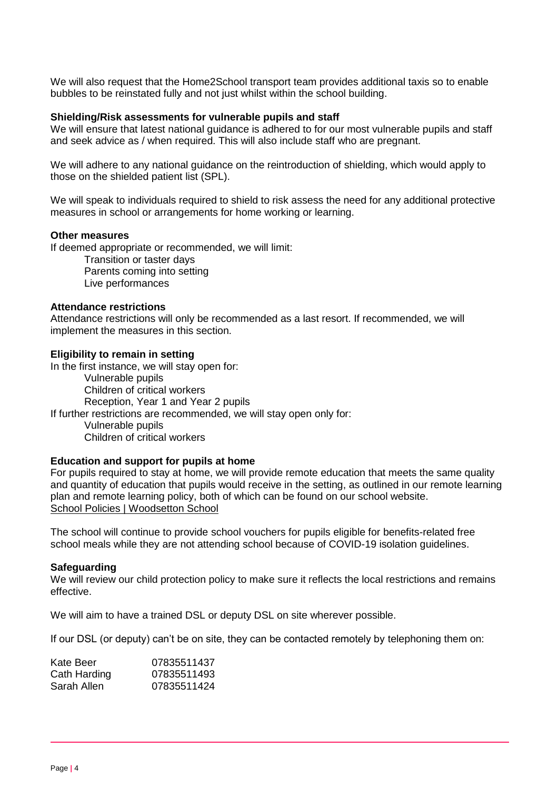We will also request that the Home2School transport team provides additional taxis so to enable bubbles to be reinstated fully and not just whilst within the school building.

#### **Shielding/Risk assessments for vulnerable pupils and staff**

We will ensure that latest national guidance is adhered to for our most vulnerable pupils and staff and seek advice as / when required. This will also include staff who are pregnant.

We will adhere to any national guidance on the reintroduction of shielding, which would apply to those on the shielded patient list (SPL).

We will speak to individuals required to shield to risk assess the need for any additional protective measures in school or arrangements for home working or learning.

#### **Other measures**

If deemed appropriate or recommended, we will limit:

Transition or taster days Parents coming into setting Live performances

#### **Attendance restrictions**

Attendance restrictions will only be recommended as a last resort. If recommended, we will implement the measures in this section.

#### **Eligibility to remain in setting**

In the first instance, we will stay open for:

Vulnerable pupils Children of critical workers Reception, Year 1 and Year 2 pupils If further restrictions are recommended, we will stay open only for:

Vulnerable pupils Children of critical workers

#### **Education and support for pupils at home**

For pupils required to stay at home, we will provide remote education that meets the same quality and quantity of education that pupils would receive in the setting, as outlined in our remote learning plan and remote learning policy, both of which can be found on our school website. [School Policies | Woodsetton School](https://woodsetton.dudley.sch.uk/school/school-policies)

The school will continue to provide school vouchers for pupils eligible for benefits-related free school meals while they are not attending school because of COVID-19 isolation guidelines.

#### **Safeguarding**

We will review our child protection policy to make sure it reflects the local restrictions and remains effective.

We will aim to have a trained DSL or deputy DSL on site wherever possible.

If our DSL (or deputy) can't be on site, they can be contacted remotely by telephoning them on:

| Kate Beer    | 07835511437 |
|--------------|-------------|
| Cath Harding | 07835511493 |
| Sarah Allen  | 07835511424 |